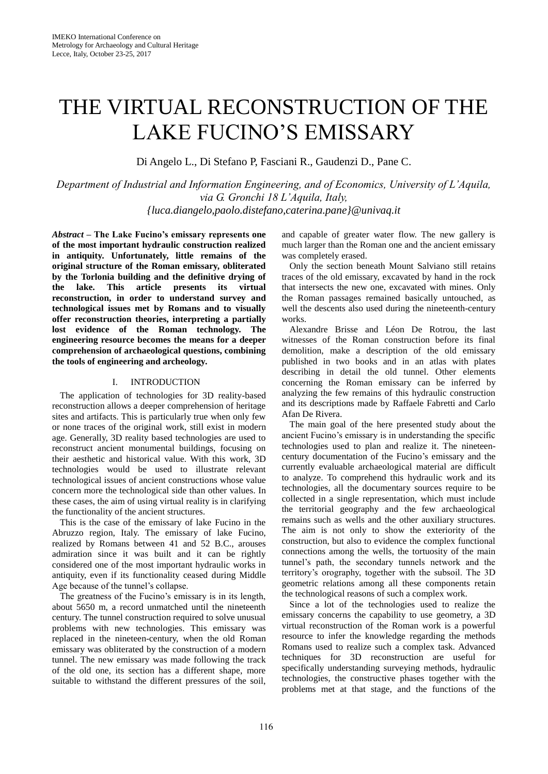# THE VIRTUAL RECONSTRUCTION OF THE LAKE FUCINO'S EMISSARY

Di Angelo L., Di Stefano P, Fasciani R., Gaudenzi D., Pane C.

*Department of Industrial and Information Engineering, and of Economics, University of L'Aquila, via G. Gronchi 18 L'Aquila, Italy, {luca.diangelo,paolo.distefano,caterina.pane}@univaq.it*

*Abstract* **– The Lake Fucino's emissary represents one of the most important hydraulic construction realized in antiquity. Unfortunately, little remains of the original structure of the Roman emissary, obliterated by the Torlonia building and the definitive drying of the lake. This article presents its virtual reconstruction, in order to understand survey and technological issues met by Romans and to visually offer reconstruction theories, interpreting a partially lost evidence of the Roman technology. The engineering resource becomes the means for a deeper comprehension of archaeological questions, combining the tools of engineering and archeology.**

# I. INTRODUCTION

The application of technologies for 3D reality-based reconstruction allows a deeper comprehension of heritage sites and artifacts. This is particularly true when only few or none traces of the original work, still exist in modern age. Generally, 3D reality based technologies are used to reconstruct ancient monumental buildings, focusing on their aesthetic and historical value. With this work, 3D technologies would be used to illustrate relevant technological issues of ancient constructions whose value concern more the technological side than other values. In these cases, the aim of using virtual reality is in clarifying the functionality of the ancient structures.

This is the case of the emissary of lake Fucino in the Abruzzo region, Italy. The emissary of lake Fucino, realized by Romans between 41 and 52 B.C., arouses admiration since it was built and it can be rightly considered one of the most important hydraulic works in antiquity, even if its functionality ceased during Middle Age because of the tunnel's collapse.

The greatness of the Fucino's emissary is in its length, about 5650 m, a record unmatched until the nineteenth century. The tunnel construction required to solve unusual problems with new technologies. This emissary was replaced in the nineteen-century, when the old Roman emissary was obliterated by the construction of a modern tunnel. The new emissary was made following the track of the old one, its section has a different shape, more suitable to withstand the different pressures of the soil,

and capable of greater water flow. The new gallery is much larger than the Roman one and the ancient emissary was completely erased.

Only the section beneath Mount Salviano still retains traces of the old emissary, excavated by hand in the rock that intersects the new one, excavated with mines. Only the Roman passages remained basically untouched, as well the descents also used during the nineteenth-century works.

Alexandre Brisse and Léon De Rotrou, the last witnesses of the Roman construction before its final demolition, make a description of the old emissary published in two books and in an atlas with plates describing in detail the old tunnel. Other elements concerning the Roman emissary can be inferred by analyzing the few remains of this hydraulic construction and its descriptions made by Raffaele Fabretti and Carlo Afan De Rivera.

The main goal of the here presented study about the ancient Fucino's emissary is in understanding the specific technologies used to plan and realize it. The nineteencentury documentation of the Fucino's emissary and the currently evaluable archaeological material are difficult to analyze. To comprehend this hydraulic work and its technologies, all the documentary sources require to be collected in a single representation, which must include the territorial geography and the few archaeological remains such as wells and the other auxiliary structures. The aim is not only to show the exteriority of the construction, but also to evidence the complex functional connections among the wells, the tortuosity of the main tunnel's path, the secondary tunnels network and the territory's orography, together with the subsoil. The 3D geometric relations among all these components retain the technological reasons of such a complex work.

Since a lot of the technologies used to realize the emissary concerns the capability to use geometry, a 3D virtual reconstruction of the Roman work is a powerful resource to infer the knowledge regarding the methods Romans used to realize such a complex task. Advanced techniques for 3D reconstruction are useful for specifically understanding surveying methods, hydraulic technologies, the constructive phases together with the problems met at that stage, and the functions of the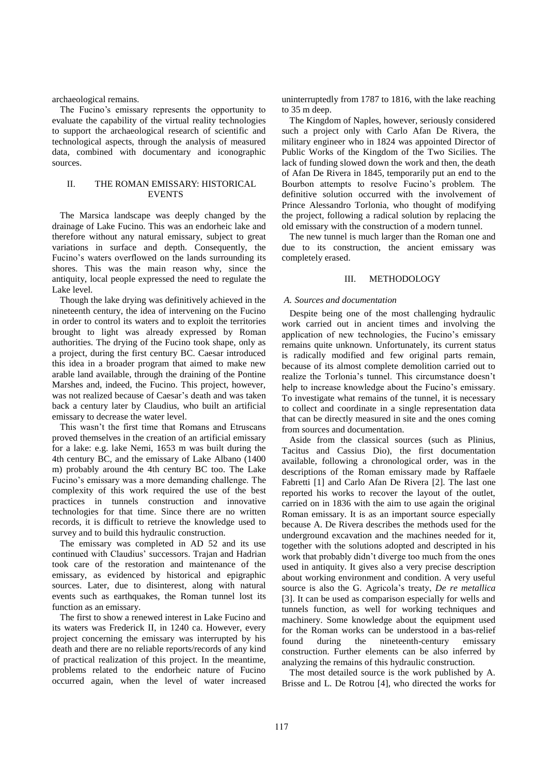archaeological remains.

The Fucino's emissary represents the opportunity to evaluate the capability of the virtual reality technologies to support the archaeological research of scientific and technological aspects, through the analysis of measured data, combined with documentary and iconographic sources.

# II. THE ROMAN EMISSARY: HISTORICAL EVENTS

The Marsica landscape was deeply changed by the drainage of Lake Fucino. This was an endorheic lake and therefore without any natural emissary, subject to great variations in surface and depth. Consequently, the Fucino's waters overflowed on the lands surrounding its shores. This was the main reason why, since the antiquity, local people expressed the need to regulate the Lake level.

Though the lake drying was definitively achieved in the nineteenth century, the idea of intervening on the Fucino in order to control its waters and to exploit the territories brought to light was already expressed by Roman authorities. The drying of the Fucino took shape, only as a project, during the first century BC. Caesar introduced this idea in a broader program that aimed to make new arable land available, through the draining of the Pontine Marshes and, indeed, the Fucino. This project, however, was not realized because of Caesar's death and was taken back a century later by Claudius, who built an artificial emissary to decrease the water level.

This wasn't the first time that Romans and Etruscans proved themselves in the creation of an artificial emissary for a lake: e.g. lake Nemi, 1653 m was built during the 4th century BC, and the emissary of Lake Albano (1400 m) probably around the 4th century BC too. The Lake Fucino's emissary was a more demanding challenge. The complexity of this work required the use of the best practices in tunnels construction and innovative technologies for that time. Since there are no written records, it is difficult to retrieve the knowledge used to survey and to build this hydraulic construction.

The emissary was completed in AD 52 and its use continued with Claudius' successors. Trajan and Hadrian took care of the restoration and maintenance of the emissary, as evidenced by historical and epigraphic sources. Later, due to disinterest, along with natural events such as earthquakes, the Roman tunnel lost its function as an emissary.

The first to show a renewed interest in Lake Fucino and its waters was Frederick II, in 1240 ca. However, every project concerning the emissary was interrupted by his death and there are no reliable reports/records of any kind of practical realization of this project. In the meantime, problems related to the endorheic nature of Fucino occurred again, when the level of water increased uninterruptedly from 1787 to 1816, with the lake reaching to 35 m deep.

The Kingdom of Naples, however, seriously considered such a project only with Carlo Afan De Rivera, the military engineer who in 1824 was appointed Director of Public Works of the Kingdom of the Two Sicilies. The lack of funding slowed down the work and then, the death of Afan De Rivera in 1845, temporarily put an end to the Bourbon attempts to resolve Fucino's problem. The definitive solution occurred with the involvement of Prince Alessandro Torlonia, who thought of modifying the project, following a radical solution by replacing the old emissary with the construction of a modern tunnel.

The new tunnel is much larger than the Roman one and due to its construction, the ancient emissary was completely erased.

#### III. METHODOLOGY

#### *A. Sources and documentation*

Despite being one of the most challenging hydraulic work carried out in ancient times and involving the application of new technologies, the Fucino's emissary remains quite unknown. Unfortunately, its current status is radically modified and few original parts remain, because of its almost complete demolition carried out to realize the Torlonia's tunnel. This circumstance doesn't help to increase knowledge about the Fucino's emissary. To investigate what remains of the tunnel, it is necessary to collect and coordinate in a single representation data that can be directly measured in site and the ones coming from sources and documentation.

Aside from the classical sources (such as Plinius, Tacitus and Cassius Dio), the first documentation available, following a chronological order, was in the descriptions of the Roman emissary made by Raffaele Fabretti [1] and Carlo Afan De Rivera [2]. The last one reported his works to recover the layout of the outlet, carried on in 1836 with the aim to use again the original Roman emissary. It is as an important source especially because A. De Rivera describes the methods used for the underground excavation and the machines needed for it, together with the solutions adopted and descripted in his work that probably didn't diverge too much from the ones used in antiquity. It gives also a very precise description about working environment and condition. A very useful source is also the G. Agricola's treaty, *De re metallica* [3]. It can be used as comparison especially for wells and tunnels function, as well for working techniques and machinery. Some knowledge about the equipment used for the Roman works can be understood in a bas-relief found during the nineteenth-century emissary construction. Further elements can be also inferred by analyzing the remains of this hydraulic construction.

The most detailed source is the work published by A. Brisse and L. De Rotrou [4], who directed the works for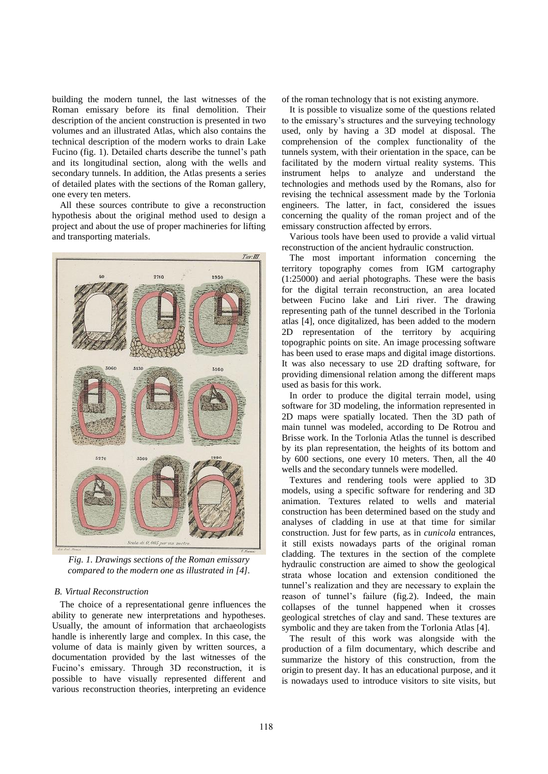building the modern tunnel, the last witnesses of the Roman emissary before its final demolition. Their description of the ancient construction is presented in two volumes and an illustrated Atlas, which also contains the technical description of the modern works to drain Lake Fucino (fig. 1). Detailed charts describe the tunnel's path and its longitudinal section, along with the wells and secondary tunnels. In addition, the Atlas presents a series of detailed plates with the sections of the Roman gallery, one every ten meters.

All these sources contribute to give a reconstruction hypothesis about the original method used to design a project and about the use of proper machineries for lifting and transporting materials.



*Fig. 1. Drawings sections of the Roman emissary compared to the modern one as illustrated in [4].*

### *B. Virtual Reconstruction*

The choice of a representational genre influences the ability to generate new interpretations and hypotheses. Usually, the amount of information that archaeologists handle is inherently large and complex. In this case, the volume of data is mainly given by written sources, a documentation provided by the last witnesses of the Fucino's emissary. Through 3D reconstruction, it is possible to have visually represented different and various reconstruction theories, interpreting an evidence of the roman technology that is not existing anymore.

It is possible to visualize some of the questions related to the emissary's structures and the surveying technology used, only by having a 3D model at disposal. The comprehension of the complex functionality of the tunnels system, with their orientation in the space, can be facilitated by the modern virtual reality systems. This instrument helps to analyze and understand the technologies and methods used by the Romans, also for revising the technical assessment made by the Torlonia engineers. The latter, in fact, considered the issues concerning the quality of the roman project and of the emissary construction affected by errors.

Various tools have been used to provide a valid virtual reconstruction of the ancient hydraulic construction.

The most important information concerning the territory topography comes from IGM cartography (1:25000) and aerial photographs. These were the basis for the digital terrain reconstruction, an area located between Fucino lake and Liri river. The drawing representing path of the tunnel described in the Torlonia atlas [4], once digitalized, has been added to the modern 2D representation of the territory by acquiring topographic points on site. An image processing software has been used to erase maps and digital image distortions. It was also necessary to use 2D drafting software, for providing dimensional relation among the different maps used as basis for this work.

In order to produce the digital terrain model, using software for 3D modeling, the information represented in 2D maps were spatially located. Then the 3D path of main tunnel was modeled, according to De Rotrou and Brisse work. In the Torlonia Atlas the tunnel is described by its plan representation, the heights of its bottom and by 600 sections, one every 10 meters. Then, all the 40 wells and the secondary tunnels were modelled.

Textures and rendering tools were applied to 3D models, using a specific software for rendering and 3D animation. Textures related to wells and material construction has been determined based on the study and analyses of cladding in use at that time for similar construction. Just for few parts, as in *cunicola* entrances, it still exists nowadays parts of the original roman cladding. The textures in the section of the complete hydraulic construction are aimed to show the geological strata whose location and extension conditioned the tunnel's realization and they are necessary to explain the reason of tunnel's failure (fig.2). Indeed, the main collapses of the tunnel happened when it crosses geological stretches of clay and sand. These textures are symbolic and they are taken from the Torlonia Atlas [4].

The result of this work was alongside with the production of a film documentary, which describe and summarize the history of this construction, from the origin to present day. It has an educational purpose, and it is nowadays used to introduce visitors to site visits, but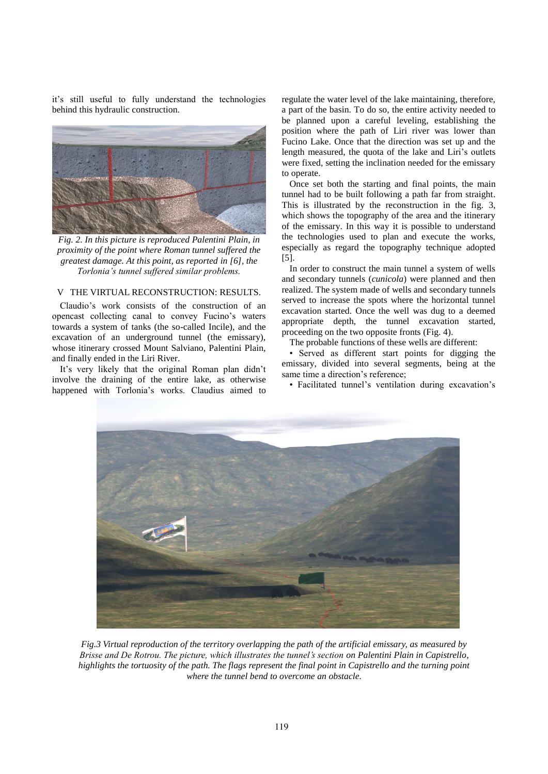it's still useful to fully understand the technologies behind this hydraulic construction.



*Fig. 2. In this picture is reproduced Palentini Plain, in proximity of the point where Roman tunnel suffered the greatest damage. At this point, as reported in [6], the Torlonia's tunnel suffered similar problems.*

# V THE VIRTUAL RECONSTRUCTION: RESULTS.

Claudio's work consists of the construction of an opencast collecting canal to convey Fucino's waters towards a system of tanks (the so-called Incile), and the excavation of an underground tunnel (the emissary), whose itinerary crossed Mount Salviano, Palentini Plain, and finally ended in the Liri River.

It's very likely that the original Roman plan didn't involve the draining of the entire lake, as otherwise happened with Torlonia's works. Claudius aimed to regulate the water level of the lake maintaining, therefore, a part of the basin. To do so, the entire activity needed to be planned upon a careful leveling, establishing the position where the path of Liri river was lower than Fucino Lake. Once that the direction was set up and the length measured, the quota of the lake and Liri's outlets were fixed, setting the inclination needed for the emissary to operate.

Once set both the starting and final points, the main tunnel had to be built following a path far from straight. This is illustrated by the reconstruction in the fig. 3, which shows the topography of the area and the itinerary of the emissary. In this way it is possible to understand the technologies used to plan and execute the works, especially as regard the topography technique adopted [5].

In order to construct the main tunnel a system of wells and secondary tunnels (*cunicola*) were planned and then realized. The system made of wells and secondary tunnels served to increase the spots where the horizontal tunnel excavation started. Once the well was dug to a deemed appropriate depth, the tunnel excavation started, proceeding on the two opposite fronts (Fig. 4).

The probable functions of these wells are different:

• Served as different start points for digging the emissary, divided into several segments, being at the same time a direction's reference;

• Facilitated tunnel's ventilation during excavation's



*Fig.3 Virtual reproduction of the territory overlapping the path of the artificial emissary, as measured by Brisse and De Rotrou. The picture, which illustrates the tunnel's section on Palentini Plain in Capistrello, highlights the tortuosity of the path. The flags represent the final point in Capistrello and the turning point where the tunnel bend to overcome an obstacle.*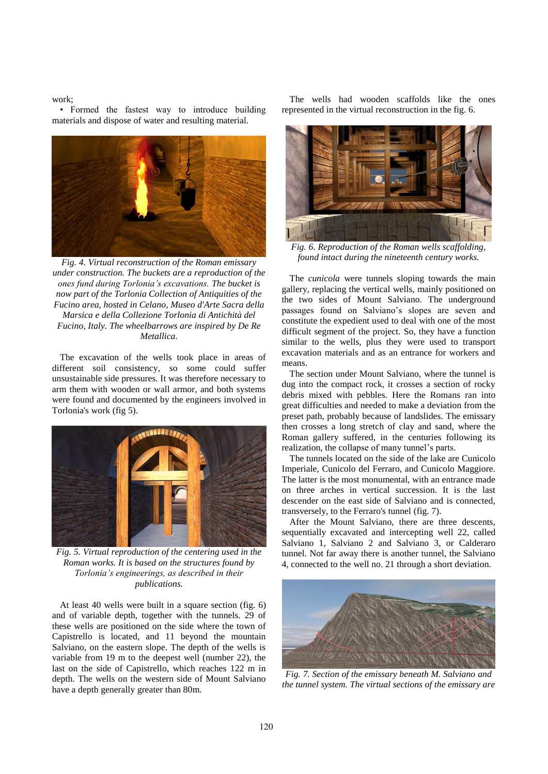work;

• Formed the fastest way to introduce building materials and dispose of water and resulting material.



*Fig. 4. Virtual reconstruction of the Roman emissary under construction. The buckets are a reproduction of the ones fund during Torlonia's excavations. The bucket is now part of the Torlonia Collection of Antiquities of the Fucino area, hosted in Celano, Museo d'Arte Sacra della Marsica e della Collezione Torlonia di Antichità del Fucino, Italy. The wheelbarrows are inspired by De Re Metallica.*

The excavation of the wells took place in areas of different soil consistency, so some could suffer unsustainable side pressures. It was therefore necessary to arm them with wooden or wall armor, and both systems were found and documented by the engineers involved in Torlonia's work (fig 5).



*Fig. 5. Virtual reproduction of the centering used in the Roman works. It is based on the structures found by Torlonia's engineerings, as described in their publications.*

At least 40 wells were built in a square section (fig. 6) and of variable depth, together with the tunnels. 29 of these wells are positioned on the side where the town of Capistrello is located, and 11 beyond the mountain Salviano, on the eastern slope. The depth of the wells is variable from 19 m to the deepest well (number 22), the last on the side of Capistrello, which reaches 122 m in depth. The wells on the western side of Mount Salviano have a depth generally greater than 80m.

The wells had wooden scaffolds like the ones represented in the virtual reconstruction in the fig. 6.



*Fig. 6. Reproduction of the Roman wells scaffolding, found intact during the nineteenth century works.*

The *cunicola* were tunnels sloping towards the main gallery, replacing the vertical wells, mainly positioned on the two sides of Mount Salviano. The underground passages found on Salviano's slopes are seven and constitute the expedient used to deal with one of the most difficult segment of the project. So, they have a function similar to the wells, plus they were used to transport excavation materials and as an entrance for workers and means.

The section under Mount Salviano, where the tunnel is dug into the compact rock, it crosses a section of rocky debris mixed with pebbles. Here the Romans ran into great difficulties and needed to make a deviation from the preset path, probably because of landslides. The emissary then crosses a long stretch of clay and sand, where the Roman gallery suffered, in the centuries following its realization, the collapse of many tunnel's parts.

The tunnels located on the side of the lake are Cunicolo Imperiale, Cunicolo del Ferraro, and Cunicolo Maggiore. The latter is the most monumental, with an entrance made on three arches in vertical succession. It is the last descender on the east side of Salviano and is connected, transversely, to the Ferraro's tunnel (fig. 7).

After the Mount Salviano, there are three descents, sequentially excavated and intercepting well 22, called Salviano 1, Salviano 2 and Salviano 3, or Calderaro tunnel. Not far away there is another tunnel, the Salviano 4, connected to the well no. 21 through a short deviation.



*Fig. 7. Section of the emissary beneath M. Salviano and the tunnel system. The virtual sections of the emissary are*